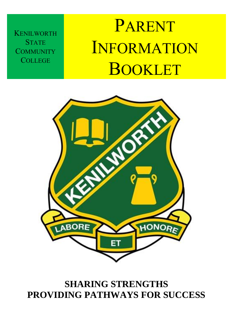**KENILWORTH STATE COMMUNITY COLLEGE** 

# PARENT INFORMATION BOOKLET



### **SHARING STRENGTHS PROVIDING PATHWAYS FOR SUCCESS**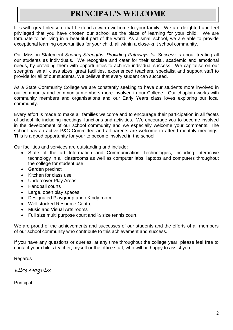### **PRINCIPAL'S WELCOME**

It is with great pleasure that I extend a warm welcome to your family. We are delighted and feel privileged that you have chosen our school as the place of learning for your child. We are fortunate to be living in a beautiful part of the world. As a small school, we are able to provide exceptional learning opportunities for your child, all within a close-knit school community.

Our Mission Statement *Sharing Strengths, Providing Pathways for Success* is about treating all our students as individuals. We recognise and cater for their social, academic and emotional needs, by providing them with opportunities to achieve individual success. We capitalise on our strengths: small class sizes, great facilities, experienced teachers, specialist and support staff to provide for all of our students. We believe that every student can succeed.

As a State Community College we are constantly seeking to have our students more involved in our community and community members more involved in our College. Our chaplain works with community members and organisations and our Early Years class loves exploring our local community.

Every effort is made to make all families welcome and to encourage their participation in all facets of school life including meetings, functions and activities. We encourage you to become involved in the development of our school community and we especially welcome your comments. The school has an active P&C Committee and all parents are welcome to attend monthly meetings. This is a good opportunity for your to become involved in the school.

Our facilities and services are outstanding and include:

- State of the art Information and Communication Technologies, including interactive technology in all classrooms as well as computer labs, laptops and computers throughout the college for student use.
- Garden precinct
- Kitchen for class use
- Undercover Play Areas
- Handball courts
- Large, open play spaces
- Designated Playgroup and eKindy room
- Well stocked Resource Centre
- Music and Visual Arts rooms
- Full size multi purpose court and  $\frac{1}{2}$  size tennis court.

We are proud of the achievements and successes of our students and the efforts of all members of our school community who contribute to this achievement and success.

If you have any questions or queries, at any time throughout the college year, please feel free to contact your child's teacher, myself or the office staff, who will be happy to assist you.

Regards

Elise Maguire

Principal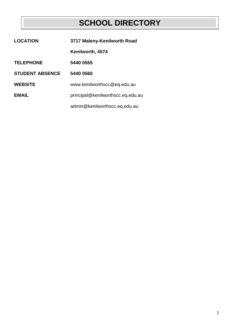### **SCHOOL DIRECTORY**

| <b>LOCATION</b>        | 3717 Maleny-Kenilworth Road       |
|------------------------|-----------------------------------|
|                        | Kenilworth, 4574                  |
| <b>TELEPHONE</b>       | 5440 0555                         |
| <b>STUDENT ABSENCE</b> | 5440 0560                         |
| <b>WEBSITE</b>         | www.kenilworthscc@eq.edu.au       |
| <b>EMAIL</b>           | principal@kenilworthscc.eq.edu.au |
|                        | admin@kenilworthscc.eq.edu.au     |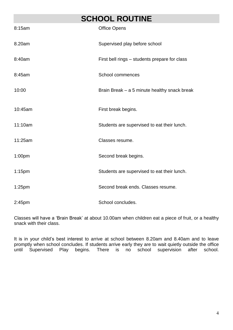### **SCHOOL ROUTINE**

| 8:15am             | <b>Office Opens</b>                           |
|--------------------|-----------------------------------------------|
| 8.20am             | Supervised play before school                 |
| 8:40am             | First bell rings - students prepare for class |
| 8:45am             | <b>School commences</b>                       |
| 10:00              | Brain Break - a 5 minute healthy snack break  |
| 10:45am            | First break begins.                           |
| 11:10am            | Students are supervised to eat their lunch.   |
| 11:25am            | Classes resume.                               |
| 1:00 <sub>pm</sub> | Second break begins.                          |
| $1:15$ pm          | Students are supervised to eat their lunch.   |
| $1:25$ pm          | Second break ends. Classes resume.            |
| 2:45 <sub>pm</sub> | School concludes.                             |

Classes will have a 'Brain Break' at about 10.00am when children eat a piece of fruit, or a healthy snack with their class.

It is in your child's best interest to arrive at school between 8.20am and 8.40am and to leave promptly when school concludes. If students arrive early they are to wait quietly outside the office until Supervised Play begins. There is no school supervision after school.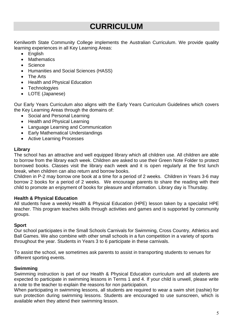### **CURRICULUM**

Kenilworth State Community College implements the Australian Curriculum. We provide quality learning experiences in all Key Learning Areas:

- English
- Mathematics
- **Science**
- Humanities and Social Sciences (HASS)
- The Arts
- Health and Physical Education
- Technologyies
- LOTE (Japanese)

Our Early Years Curriculum also aligns with the Early Years Curriculum Guidelines which covers the Key Learning Areas through the domains of:

- Social and Personal Learning
- Health and Physical Learning
- Language Learning and Communication
- Early Mathematical Understandings
- Active Learning Processes

#### **Library**

The school has an attractive and well equipped library which all children use. All children are able to borrow from the library each week. Children are asked to use their Green Note Folder to protect borrowed books. Classes visit the library each week and it is open regularly at the first lunch break, when children can also return and borrow books.

Children in P-2 may borrow one book at a time for a period of 2 weeks. Children in Years 3-6 may borrow 2 books for a period of 2 weeks. We encourage parents to share the reading with their child to promote an enjoyment of books for pleasure and information. Library day is Thursday.

#### **Health & Physical Education**

All students have a weekly Health & Physical Education (HPE) lesson taken by a specialist HPE teacher. This program teaches skills through activities and games and is supported by community groups.

#### **Sport**

Our school participates in the Small Schools Carnivals for Swimming, Cross Country, Athletics and Ball Games. We also combine with other small schools in a fun competition in a variety of sports throughout the year. Students in Years 3 to 6 participate in these carnivals.

To assist the school, we sometimes ask parents to assist in transporting students to venues for different sporting events.

#### **Swimming**

Swimming instruction is part of our Health & Physical Education curriculum and all students are expected to participate in swimming lessons in Terms 1 and 4. If your child is unwell, please write a note to the teacher to explain the reasons for non participation.

When participating in swimming lessons, all students are required to wear a swim shirt (rashie) for sun protection during swimming lessons. Students are encouraged to use sunscreen, which is available when they attend their swimming lesson.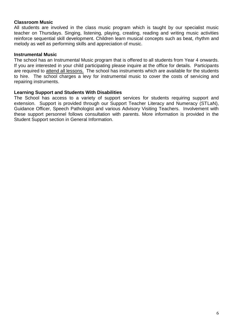#### **Classroom Music**

All students are involved in the class music program which is taught by our specialist music teacher on Thursdays. Singing, listening, playing, creating, reading and writing music activities reinforce sequential skill development. Children learn musical concepts such as beat, rhythm and melody as well as performing skills and appreciation of music.

#### **Instrumental Music**

The school has an Instrumental Music program that is offered to all students from Year 4 onwards. If you are interested in your child participating please inquire at the office for details. Participants are required to attend all lessons. The school has instruments which are available for the students to hire. The school charges a levy for instrumental music to cover the costs of servicing and repairing instruments.

#### **Learning Support and Students With Disabilities**

The School has access to a variety of support services for students requiring support and extension. Support is provided through our Support Teacher Literacy and Numeracy (STLaN), Guidance Officer, Speech Pathologist and various Advisory Visiting Teachers. Involvement with these support personnel follows consultation with parents. More information is provided in the Student Support section in General Information.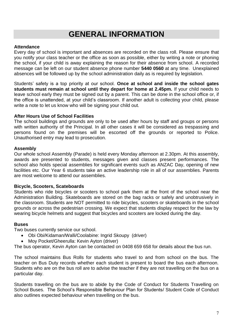### **GENERAL INFORMATION**

#### **Attendance**

Every day of school is important and absences are recorded on the class roll. Please ensure that you notify your class teacher or the office as soon as possible, either by writing a note or phoning the school, if your child is away explaining the reason for their absence from school. A recorded message can be left on our student absence phone number **5440 0560** at any time. Unexplained absences will be followed up by the school administration daily as is required by legislation.

Students' safety is a top priority at our school. **Once at school and inside the school gates students must remain at school until they depart for home at 2.45pm.** If your child needs to leave school early they must be signed out by a parent. This can be done in the school office or, if the office is unattended, at your child's classroom. If another adult is collecting your child, please write a note to let us know who will be signing your child out.

#### **After Hours Use of School Facilities**

The school buildings and grounds are only to be used after hours by staff and groups or persons with written authority of the Principal. In all other cases it will be considered as trespassing and persons found on the premises will be escorted off the grounds or reported to Police. Unauthorised entry may lead to prosecution.

#### **Assembly**

Our whole school Assembly (Parade) is held every Monday afternoon at 2.30pm. At this assembly, awards are presented to students, messages given and classes present performances. The school also holds special assemblies for significant events such as ANZAC Day, opening of new facilities etc. Our Year 6 students take an active leadership role in all of our assemblies. Parents are most welcome to attend our assemblies.

#### **Bicycle, Scooters, Scateboards**

Students who ride bicycles or scooters to school park them at the front of the school near the Administration Building. Skateboards are stored on the bag racks or safely and unobtrusively in the classroom. Students are NOT permitted to ride bicycles, scooters or skateboards in the school grounds or across the pedestrian crossing. We expect that students display respect for the law by wearing bicycle helmets and suggest that bicycles and scooters are locked during the day.

#### **Buses**

Two buses currently service our school.

- Obi Obi/Kidaman/Walli/Coolabine: Ingrid Skoupy (driver)
- Moy Pocket/Gheerulla: Kevin Ayton (driver)

The bus operator, Kevin Ayton can be contacted on 0408 659 658 for details about the bus run.

The school maintains Bus Rolls for students who travel to and from school on the bus. The teacher on Bus Duty records whether each student is present to board the bus each afternoon. Students who are on the bus roll are to advise the teacher if they are not travelling on the bus on a particular day.

Students travelling on the bus are to abide by the Code of Conduct for Students Travelling on School Buses. The School's Responsible Behaviour Plan for Students/ Student Code of Conduct also outlines expected behaviour when travelling on the bus.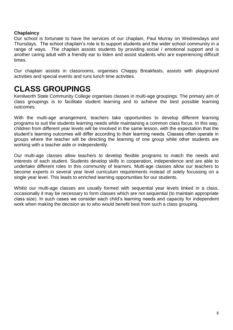#### **Chaplaincy**

Our school is fortunate to have the services of our chaplain, Paul Murray on Wednesdays and Thursdays. The school chaplain's role is to support students and the wider school community in a range of ways. The chaplain assists students by providing social / emotional support and is another caring adult with a friendly ear to listen and assist students who are experiencing difficult times.

Our chaplain assists in classrooms, organises Chappy Breakfasts, assists with playground activities and special events and runs lunch time activities.

### **CLASS GROUPINGS**

Kenilworth State Community College organises classes in multi-age groupings. The primary aim of class groupings is to facilitate student learning and to achieve the best possible learning outcomes.

With the multi-age arrangement, teachers take opportunities to develop different learning programs to suit the students learning needs while maintaining a common class focus. In this way, children from different year levels will be involved in the same lesson, with the expectation that the student's learning outcomes will differ according to their learning needs. Classes often operate in groups where the teacher will be directing the learning of one group while other students are working with a teacher aide or independently.

Our multi-age classes allow teachers to develop flexible programs to match the needs and interests of each student. Students develop skills in cooperation, independence and are able to undertake different roles in this community of learners. Multi-age classes allow our teachers to become experts in several year level curriculum requirements instead of solely focussing on a single year level. This leads to enriched learning opportunities for our students.

Whilst our multi-age classes are usually formed with sequential year levels linked in a class, occasionally it may be necessary to form classes which are not sequential (to maintain appropriate class size). In such cases we consider each child's learning needs and capacity for independent work when making the decision as to who would benefit best from such a class grouping.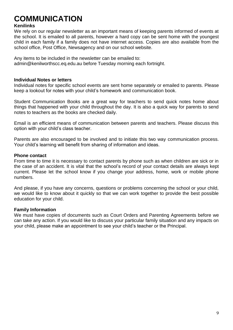### **COMMUNICATION**

#### **Kenilinks**

We rely on our regular newsletter as an important means of keeping parents informed of events at the school. It is emailed to all parents, however a hard copy can be sent home with the youngest child in each family if a family does not have internet access. Copies are also available from the school office, Post Office, Newsagency and on our school website.

Any items to be included in the newsletter can be emailed to: admin@kenilworthscc.eq.edu.au before Tuesday morning each fortnight.

#### **Individual Notes or letters**

Individual notes for specific school events are sent home separately or emailed to parents. Please keep a lookout for notes with your child's homework and communication book.

Student Communication Books are a great way for teachers to send quick notes home about things that happened with your child throughout the day. It is also a quick way for parents to send notes to teachers as the books are checked daily.

Email is an efficient means of communication between parents and teachers. Please discuss this option with your child's class teacher.

Parents are also encouraged to be involved and to initiate this two way communication process. Your child's learning will benefit from sharing of information and ideas.

#### **Phone contact**

From time to time it is necessary to contact parents by phone such as when children are sick or in the case of an accident. It is vital that the school's record of your contact details are always kept current. Please let the school know if you change your address, home, work or mobile phone numbers.

And please, if you have any concerns, questions or problems concerning the school or your child, we would like to know about it quickly so that we can work together to provide the best possible education for your child.

#### **Family Information**

We must have copies of documents such as Court Orders and Parenting Agreements before we can take any action. If you would like to discuss your particular family situation and any impacts on your child, please make an appointment to see your child's teacher or the Principal.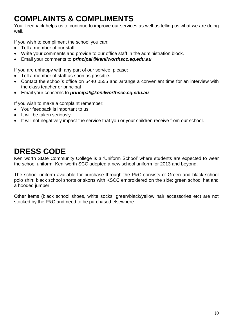### **COMPLAINTS & COMPLIMENTS**

Your feedback helps us to continue to improve our services as well as telling us what we are doing well.

If you wish to compliment the school you can:

- Tell a member of our staff.
- Write your comments and provide to our office staff in the administration block.
- Email your comments to *principal@kenilworthscc.eq.edu.au*

If you are unhappy with any part of our service, please:

- Tell a member of staff as soon as possible.
- Contact the school's office on 5440 0555 and arrange a convenient time for an interview with the class teacher or principal
- Email your concerns to *principal@kenilworthscc.eq.edu.au*

If you wish to make a complaint remember:

- Your feedback is important to us.
- It will be taken seriously.
- It will not negatively impact the service that you or your children receive from our school.

### **DRESS CODE**

Kenilworth State Community College is a 'Uniform School' where students are expected to wear the school uniform. Kenilworth SCC adopted a new school uniform for 2013 and beyond.

The school uniform available for purchase through the P&C consists of Green and black school polo shirt; black school shorts or skorts with KSCC embroidered on the side; green school hat and a hooded jumper.

Other items (black school shoes, white socks, green/black/yellow hair accessories etc) are not stocked by the P&C and need to be purchased elsewhere.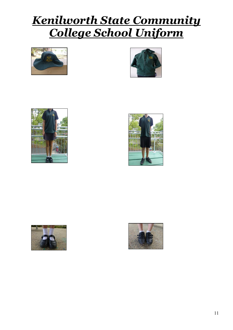## *Kenilworth State Community College School Uniform*











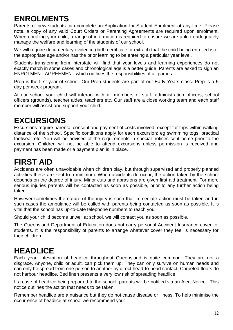### **ENROLMENTS**

Parents of new students can complete an Application for Student Enrolment at any time. Please note, a copy of any valid Court Orders or Parenting Agreements are required upon enrolment. When enrolling your child, a range of information is required to ensure we are able to adequately manage the welfare and learning of the students of our school.

We will require documentary evidence (birth certificate or extract) that the child being enrolled is of the appropriate age and/or has the prior learning to be entering a particular year level.

Students transferring from interstate will find that year levels and learning experiences do not exactly match in some cases and chronological age is a better guide. Parents are asked to sign an ENROLMENT AGREEMENT which outlines the responsibilities of all parties.

Prep is the first year of school. Our Prep students are part of our Early Years class. Prep is a 5 day per week program.

At our school your child will interact with all members of staff- administration officers, school officers (grounds), teacher aides, teachers etc. Our staff are a close working team and each staff member will assist and support your child.

### **EXCURSIONS**

Excursions require parental consent and payment of costs involved, except for trips within walking distance of the school. Specific conditions apply for each excursion: eg swimming togs, practical footwear etc. You will be advised of the requirements in special notices sent home prior to the excursion. Children will not be able to attend excursions unless permission is received and payment has been made or a payment plan is in place.

### **FIRST AID**

Accidents are often unavoidable when children play, but through supervised and properly planned activities these are kept to a minimum. When accidents do occur, the action taken by the school depends on the degree of injury. Minor cuts and abrasions are given first aid treatment. For more serious injuries parents will be contacted as soon as possible, prior to any further action being taken.

However sometimes the nature of the injury is such that immediate action must be taken and in such cases the ambulance will be called with parents being contacted as soon as possible. It is vital that the school has up-to-date telephone numbers to reach you.

Should your child become unwell at school, we will contact you as soon as possible.

The Queensland Department of Education does not carry personal Accident Insurance cover for students. It is the responsibility of parents to arrange whatever cover they feel is necessary for their children.

### **HEADLICE**

Each year, infestation of headlice throughout Queensland is quite common. They are not a disgrace. Anyone, child or adult, can pick them up. They can only survive on human heads and can only be spread from one person to another by direct head-to-head contact. Carpeted floors do not harbour headlice. Bed linen presents a very low risk of spreading headlice.

If a case of headlice being reported to the school, parents will be notified via an Alert Notice. This notice outlines the action that needs to be taken.

Remember headlice are a nuisance but they do not cause disease or illness. To help minimise the occurrence of headlice at school we recommend you: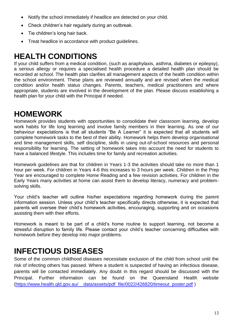- Notify the school immediately if headlice are detected on your child.
- Check children's hair regularly during an outbreak.
- Tie children's long hair back.
- Treat headlice in accordance with product quidelines.

### **HEALTH CONDITIONS**

If your child suffers from a medical condition, (such as anaphylaxis, asthma, diabetes or epilepsy), a serious allergy or requires a specialised health procedure a detailed health plan should be recorded at school. The health plan clarifies all management aspects of the health condition within the school environment. These plans are reviewed annually and are revised when the medical condition and/or health status changes. Parents, teachers, medical practitioners and where appropriate, students are involved in the development of the plan. Please discuss establishing a health plan for your child with the Principal if needed.

### **HOMEWORK**

Homework provides students with opportunities to consolidate their classroom learning, develop work habits for life long learning and involve family members in their learning. As one of our behaviour expectations is that all students "Be A Learner" it is expected that all students will complete homework tasks to the best of their ability. Homework helps them develop organisational and time management skills, self discipline, skills in using out-of-school resources and personal responsibility for learning. The setting of homework takes into account the need for students to have a balanced lifestyle. This includes time for family and recreation activities.

Homework guidelines are that for children in Years 1-3 the activities should take no more than 1 hour per week. For children in Years 4-6 this increases to 3 hours per week. Children in the Prep Year are encouraged to complete Home Reading and a few revision activities. For children in the Early Years many activities at home can assist them to develop literacy, numeracy and problemsolving skills.

Your child's teacher will outline his/her expectations regarding homework during the parent information session. Unless your child's teacher specifically directs otherwise, it is expected that parents will oversee their child's homework activities, encouraging, supporting and on occasions assisting them with their efforts.

Homework is meant to be part of a child's home routine to support learning, not become a stressful disruption to family life. Please contact your child's teacher concerning difficulties with homework before they develop into major problems.

### **INFECTIOUS DISEASES**

Some of the common childhood diseases necessitate exclusion of the child from school until the risk of infecting others has passed. Where a student is suspected of having an infectious disease, parents will be contacted immediately. Any doubt in this regard should be discussed with the Principal. Further information can be found on the Queensland Health website [\(https://www.health.qld.gov.au/\\_\\_data/assets/pdf\\_file/0022/426820/timeout\\_poster.pdf](https://www.health.qld.gov.au/__data/assets/pdf_file/0022/426820/timeout_poster.pdf) )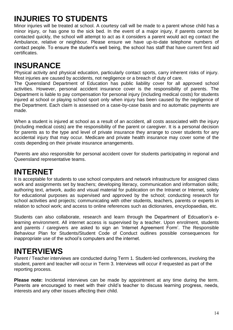### **INJURIES TO STUDENTS**

Minor injuries will be treated at school. A courtesy call will be made to a parent whose child has a minor injury, or has gone to the sick bed. In the event of a major injury, if parents cannot be contacted quickly, the school will attempt to act as it considers a parent would act eg contact the Ambulance, relative or neighbour. Please ensure we have up-to-date telephone numbers of contact people. To ensure the student's well being, the school has staff that have current first aid certificates.

### **INSURANCE**

Physical activity and physical education, particularly contact sports, carry inherent risks of injury. Most injuries are caused by accidents, not negligence or a breach of duty of care.

The Queensland Department of Education has public liability cover for all approved school activities. However, personal accident insurance cover is the responsibility of parents. The Department is liable to pay compensation for personal injury (including medical costs) for students injured at school or playing school sport only when injury has been caused by the negligence of the Department. Each claim is assessed on a case-by-case basis and no automatic payments are made.

When a student is injured at school as a result of an accident, all costs associated with the injury (including medical costs) are the responsibility of the parent or caregiver. It is a personal decision for parents as to the type and level of private insurance they arrange to cover students for any accidental injury that may occur. Medicare and private health insurance may cover some of the costs depending on their private insurance arrangements.

Parents are also responsible for personal accident cover for students participating in regional and Queensland representative teams.

### **INTERNET**

It is acceptable for students to use school computers and network infrastructure for assigned class work and assignments set by teachers; developing literacy, communication and information skills; authoring text, artwork, audio and visual material for publication on the Intranet or Internet, solely for educational purposes as supervised and approved by the school; conducting research for school activities and projects; communicating with other students, teachers, parents or experts in relation to school work; and access to online references such as dictionaries, encyclopaedias, etc.

Students can also collaborate, research and learn through the Department of Edcuation's elearning environment. All internet access is supervised by a teacher. Upon enrolment, students and parents / caregivers are asked to sign an 'Internet Agreement Form'. The Responsible Behaviour Plan for Students/Student Code of Conduct outlines possible consequences for inappropriate use of the school's computers and the internet.

### **INTERVIEWS**

Parent / Teacher interviews are conducted during Term 1. Student-led conferences, involving the student, parent and teacher will occur in Term 3. Interviews will occur if requested as part of the reporting process.

**Please note:** Incidental interviews can be made by appointment at any time during the term. Parents are encouraged to meet with their child's teacher to discuss learning progress, needs, interests and any other issues affecting their child.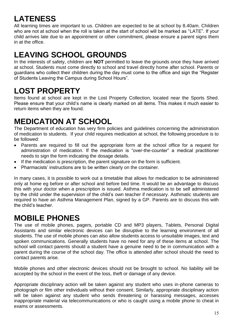### **LATENESS**

All learning times are important to us. Children are expected to be at school by 8.40am. Children who are not at school when the roll is taken at the start of school will be marked as "LATE". If your child arrives late due to an appointment or other commitment, please ensure a parent signs them in at the office.

### **LEAVING SCHOOL GROUNDS**

In the interests of safety, children are **NOT** permitted to leave the grounds once they have arrived at school. Students must come directly to school and travel directly home after school. Parents or guardians who collect their children during the day must come to the office and sign the "Register of Students Leaving the Campus during School Hours".

### **LOST PROPERTY**

Items found at school are kept in the Lost Property Collection, located near the Sports Shed. Please ensure that your child's name is clearly marked on all items. This makes it much easier to return items when they are found.

### **MEDICATION AT SCHOOL**

The Department of education has very firm policies and guidelines concerning the administration of medication to students. If your child requires medication at school, the following procedure is to be followed:

- Parents are required to fill out the appropriate form at the school office for a request for administration of medication. If the medication is "over-the-counter" a medical practitioner needs to sign the form indicating the dosage details.
- If the medication is prescription, the parent signature on the form is sufficient.
- Pharmacists' instructions are to be written clearly on the container.

In many cases, it is possible to work out a timetable that allows for medication to be administered only at home eg before or after school and before bed time. It would be an advantage to discuss this with your doctor when a prescription is issued. Asthma medication is to be self administered by the child under the supervision of the child's own teacher if necessary. Asthmatic students are required to have an Asthma Management Plan, signed by a GP. Parents are to discuss this with the child's teacher.

### **MOBILE PHONES**

The use of mobile phones, pagers, portable CD and MP3 players, Tablets, Personal Digital Assistants and similar electronic devices can be disruptive to the learning environment of all students. The use of mobile phones can also allow students access to unsuitable images, text and spoken communications. Generally students have no need for any of these items at school. The school will contact parents should a student have a genuine need to be in communication with a parent during the course of the school day. The office is attended after school should the need to contact parents arise.

Mobile phones and other electronic devices should not be brought to school. No liability will be accepted by the school in the event of the loss, theft or damage of any device.

Appropriate disciplinary action will be taken against any student who uses in-phone cameras to photograph or film other individuals without their consent. Similarly, appropriate disciplinary action will be taken against any student who sends threatening or harassing messages, accesses inappropriate material via telecommunications or who is caught using a mobile phone to cheat in exams or assessments.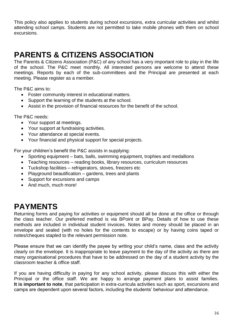This policy also applies to students during school excursions, extra curricular activities and whilst attending school camps. Students are not permitted to take mobile phones with them on school excursions.

### **PARENTS & CITIZENS ASSOCIATION**

The Parents & Citizens Association (P&C) of any school has a very important role to play in the life of the school. The P&C meet monthly. All interested persons are welcome to attend these meetings. Reports by each of the sub-committees and the Principal are presented at each meeting. Please register as a member.

The P&C aims to:

- Foster community interest in educational matters.
- Support the learning of the students at the school.
- Assist in the provision of financial resources for the benefit of the school.

The P&C needs:

- Your support at meetings.
- Your support at fundraising activities.
- Your attendance at special events.
- Your financial and physical support for special projects.

For your children's benefit the P&C assists in supplying:

- Sporting equipment bats, balls, swimming equipment, trophies and medallions
- Teaching resources reading books, library resources, curriculum resources
- Tuckshop facilities refrigerators, stoves, freezers etc
- Playground beautification gardens, trees and plants
- Support for excursions and camps
- And much, much more!

#### **PAYMENTS**

Returning forms and paying for activities or equipment should all be done at the office or through the class teacher. Our preferred method is via BPoint or BPay. Details of how to use these methods are included in individual student invoices. Notes and money should be placed in an envelope and sealed (with no holes for the contents to escape) or by having coins taped or notes/cheques stapled to the relevant permission note.

Please ensure that we can identify the payee by writing your child's name, class and the activity clearly on the envelope. It is inappropriate to leave payment to the day of the activity as there are many organisational procedures that have to be addressed on the day of a student activity by the classroom teacher & office staff.

If you are having difficulty in paying for any school activity, please discuss this with either the Principal or the office staff. We are happy to arrange payment plans to assist families. **It is important to note**, that participation in extra-curricula activities such as sport, excursions and camps are dependent upon several factors, including the students' behaviour and attendance.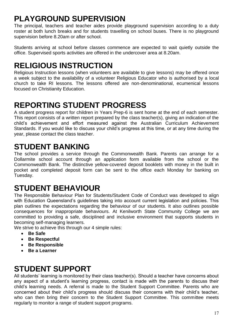### **PLAYGROUND SUPERVISION**

The principal, teachers and teacher aides provide playground supervision according to a duty roster at both lunch breaks and for students travelling on school buses. There is no playground supervision before 8.20am or after school.

Students arriving at school before classes commence are expected to wait quietly outside the office. Supervised sports activities are offered in the undercover area at 8.20am.

### **RELIGIOUS INSTRUCTION**

Religious Instruction lessons (when volunteers are available to give lessons) may be offered once a week subject to the availability of a volunteer Religious Educator who is authorised by a local church to take RI lessons. The lessons offered are non-denominational, ecumenical lessons focused on Christianity Education.

### **REPORTING STUDENT PROGRESS**

A student progress report for children in Years Prep-6 is sent home at the end of each semester. This report consists of a written report prepared by the class teacher(s), giving an indication of the child's achievement and effort measured against the Australian Curriculum Achievement Standards. If you would like to discuss your child's progress at this time, or at any time during the year, please contact the class teacher.

### **STUDENT BANKING**

The school provides a service through the Commonwealth Bank. Parents can arrange for a Dollarmite school account through an application form available from the school or the Commonwealth Bank. The distinctive yellow-covered deposit booklets with money in the built in pocket and completed deposit form can be sent to the office each Monday for banking on Tuesday.

### **STUDENT BEHAVIOUR**

The Responsible Behaviour Plan for Students/Student Code of Conduct was developed to align with Education Queensland's guidelines taking into account current legislation and policies. This plan outlines the expectations regarding the behaviour of our students. It also outlines possible consequences for inappropriate behaviours. At Kenilworth State Community College we are committed to providing a safe, disciplined and inclusive environment that supports students in becoming self-managing learners.

We strive to achieve this through our 4 simple rules:

- **Be Safe**
- **Be Respectful**
- **Be Responsible**
- **Be a Learner**

### **STUDENT SUPPORT**

All students' learning is monitored by their class teacher(s). Should a teacher have concerns about any aspect of a student's learning progress, contact is made with the parents to discuss their child's learning needs. A referral is made to the Student Support Committee. Parents who are concerned about their child's progress should discuss their concerns with their child's teacher, who can then bring their concern to the Student Support Committee. This committee meets regularly to monitor a range of student support programs.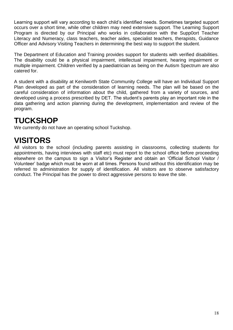Learning support will vary according to each child's identified needs. Sometimes targeted support occurs over a short time, while other children may need extensive support. The Learning Support Program is directed by our Principal who works in collaboration with the Supp0ort Teacher Literacy and Numeracy, class teachers, teacher aides, specialist teachers, therapists, Guidance Officer and Advisory Visiting Teachers in determining the best way to support the student.

The Department of Education and Training provides support for students with verified disabilities. The disability could be a physical impairment, intellectual impairment, hearing impairment or multiple impairment. Children verified by a paediatrician as being on the Autism Spectrum are also catered for.

A student with a disability at Kenilworth State Community College will have an Individual Support Plan developed as part of the consideration of learning needs. The plan will be based on the careful consideration of information about the child, gathered from a variety of sources, and developed using a process prescribed by DET. The student's parents play an important role in the data gathering and action planning during the development, implementation and review of the program.

### **TUCKSHOP**

We currently do not have an operating school Tuckshop.

### **VISITORS**

All visitors to the school (including parents assisting in classrooms, collecting students for appointments, having interviews with staff etc) must report to the school office before proceeding elsewhere on the campus to sign a Visitor's Register and obtain an 'Official School Visitor / Volunteer' badge which must be worn at all times. Persons found without this identification may be referred to administration for supply of identification. All visitors are to observe satisfactory conduct. The Principal has the power to direct aggressive persons to leave the site.